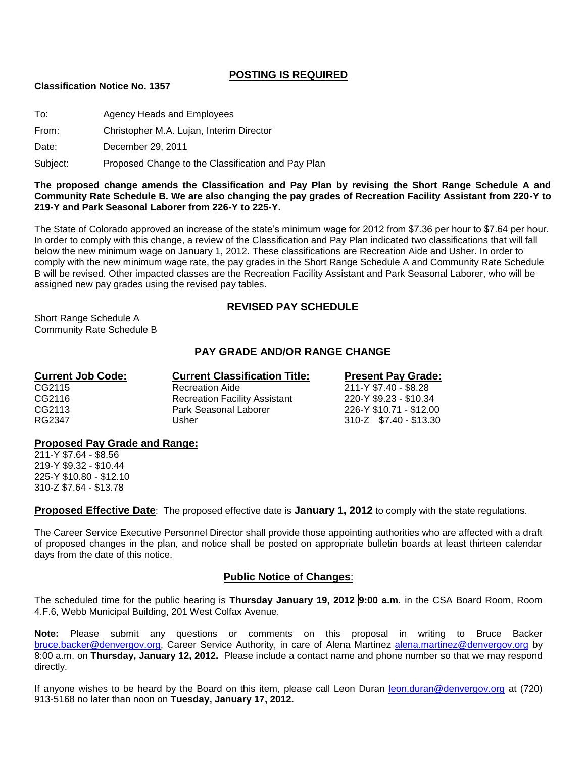# **POSTING IS REQUIRED**

#### **Classification Notice No. 1357**

To: Agency Heads and Employees

From: Christopher M.A. Lujan, Interim Director

Date: December 29, 2011

Subject: Proposed Change to the Classification and Pay Plan

**The proposed change amends the Classification and Pay Plan by revising the Short Range Schedule A and Community Rate Schedule B. We are also changing the pay grades of Recreation Facility Assistant from 220-Y to 219-Y and Park Seasonal Laborer from 226-Y to 225-Y.**

The State of Colorado approved an increase of the state's minimum wage for 2012 from \$7.36 per hour to \$7.64 per hour. In order to comply with this change, a review of the Classification and Pay Plan indicated two classifications that will fall below the new minimum wage on January 1, 2012. These classifications are Recreation Aide and Usher. In order to comply with the new minimum wage rate, the pay grades in the Short Range Schedule A and Community Rate Schedule B will be revised. Other impacted classes are the Recreation Facility Assistant and Park Seasonal Laborer, who will be assigned new pay grades using the revised pay tables.

## **REVISED PAY SCHEDULE**

Short Range Schedule A Community Rate Schedule B

# **PAY GRADE AND/OR RANGE CHANGE**

| <b>Current Job Code:</b> | <b>Current Classification Title:</b> | <b>Present Pay Grade:</b> |  |  |
|--------------------------|--------------------------------------|---------------------------|--|--|
| CG2115                   | <b>Recreation Aide</b>               | 211-Y \$7.40 - \$8.28     |  |  |
| CG2116                   | <b>Recreation Facility Assistant</b> | 220-Y \$9.23 - \$10.34    |  |  |
| CG2113                   | Park Seasonal Laborer                | 226-Y \$10.71 - \$12.00   |  |  |
| RG2347                   | Usher                                | 310-Z \$7.40 - \$13.30    |  |  |

#### **Proposed Pay Grade and Range:**

211-Y \$7.64 - \$8.56 219-Y \$9.32 - \$10.44 225-Y \$10.80 - \$12.10 310-Z \$7.64 - \$13.78

**Proposed Effective Date**: The proposed effective date is **January 1, 2012** to comply with the state regulations.

The Career Service Executive Personnel Director shall provide those appointing authorities who are affected with a draft of proposed changes in the plan, and notice shall be posted on appropriate bulletin boards at least thirteen calendar days from the date of this notice.

## **Public Notice of Changes**:

The scheduled time for the public hearing is **Thursday January 19, 2012 9:00 a.m.** in the CSA Board Room, Room 4.F.6, Webb Municipal Building, 201 West Colfax Avenue.

**Note:** Please submit any questions or comments on this proposal in writing to Bruce Backer [bruce.backer@denvergov.org,](mailto:bruce.backer@denvergov.org) Career Service Authority, in care of Alena Martinez [alena.martinez@denvergov.org](mailto:alena.martinez@denvergov.org) by 8:00 a.m. on **Thursday, January 12, 2012.** Please include a contact name and phone number so that we may respond directly.

If anyone wishes to be heard by the Board on this item, please call Leon Duran [leon.duran@denvergov.org](mailto:leon.duran@denvergov.org) at (720) 913-5168 no later than noon on **Tuesday, January 17, 2012.**